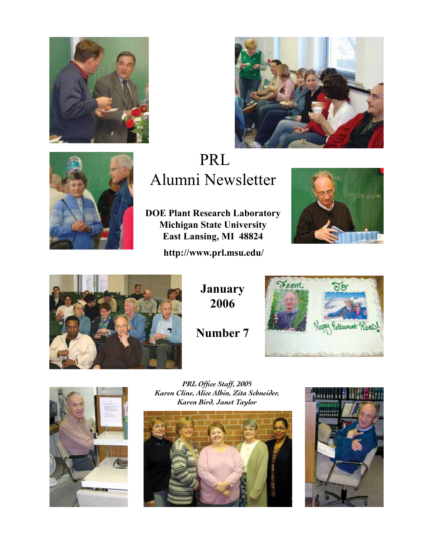





# PRL Alumni Newsletter

**DOE Plant Research Laboratory Michigan State University East Lansing, MI 48824**

**http://www.prl.msu.edu/**





**January 2006**

**Number 7**





*PRL Office Staff, 2005 Karen Cline, Alice Albin, Zita Schneider, Karen Bird, Janet Taylor*



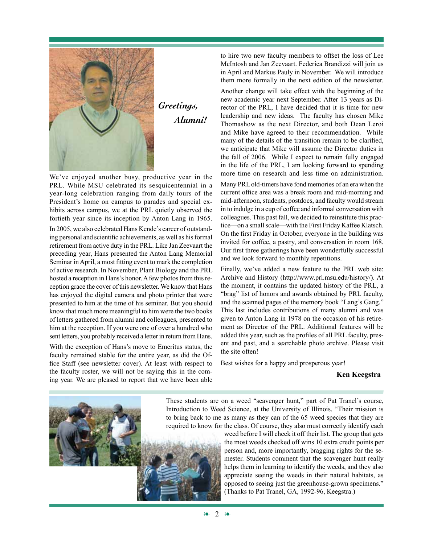

*Greetings, Alumni!*

We've enjoyed another busy, productive year in the PRL. While MSU celebrated its sesquicentennial in a year-long celebration ranging from daily tours of the President's home on campus to parades and special exhibits across campus, we at the PRL quietly observed the fortieth year since its inception by Anton Lang in 1965.

In 2005, we also celebrated Hans Kende's career of outstanding personal and scientific achievements, as well as his formal retirement from active duty in the PRL. Like Jan Zeevaart the preceding year, Hans presented the Anton Lang Memorial Seminar in April, a most fitting event to mark the completion of active research. In November, Plant Biology and the PRL hosted a reception in Hans's honor. A few photos from this reception grace the cover of this newsletter. We know that Hans has enjoyed the digital camera and photo printer that were presented to him at the time of his seminar. But you should know that much more meaningful to him were the two books of letters gathered from alumni and colleagues, presented to him at the reception. If you were one of over a hundred who sent letters, you probably received a letter in return from Hans.

With the exception of Hans's move to Emeritus status, the faculty remained stable for the entire year, as did the Office Staff (see newsletter cover). At least with respect to the faculty roster, we will not be saying this in the coming year. We are pleased to report that we have been able

to hire two new faculty members to offset the loss of Lee McIntosh and Jan Zeevaart. Federica Brandizzi will join us in April and Markus Pauly in November. We will introduce them more formally in the next edition of the newsletter.

Another change will take effect with the beginning of the new academic year next September. After 13 years as Director of the PRL, I have decided that it is time for new leadership and new ideas. The faculty has chosen Mike Thomashow as the next Director, and both Dean Leroi and Mike have agreed to their recommendation. While many of the details of the transition remain to be clarified, we anticipate that Mike will assume the Director duties in the fall of 2006. While I expect to remain fully engaged in the life of the PRL, I am looking forward to spending more time on research and less time on administration.

Many PRL old-timers have fond memories of an era when the current office area was a break room and mid-morning and mid-afternoon, students, postdocs, and faculty would stream in to indulge in a cup of coffee and informal conversation with colleagues. This past fall, we decided to reinstitute this practice—on a small scale—with the First Friday Kaffee Klatsch. On the first Friday in October, everyone in the building was invited for coffee, a pastry, and conversation in room 168. Our first three gatherings have been wonderfully successful and we look forward to monthly repetitions.

Finally, we've added a new feature to the PRL web site: Archive and History (http://www.prl.msu.edu/history/). At the moment, it contains the updated history of the PRL, a "brag" list of honors and awards obtained by PRL faculty, and the scanned pages of the memory book "Lang's Gang." This last includes contributions of many alumni and was given to Anton Lang in 1978 on the occasion of his retirement as Director of the PRL. Additional features will be added this year, such as the profiles of all PRL faculty, present and past, and a searchable photo archive. Please visit the site often!

Best wishes for a happy and prosperous year!

#### **Ken Keegstra**

These students are on a weed "scavenger hunt," part of Pat Tranel's course, Introduction to Weed Science, at the University of Illinois. "Their mission is to bring back to me as many as they can of the 65 weed species that they are required to know for the class. Of course, they also must correctly identify each

weed before I will check it off their list. The group that gets the most weeds checked off wins 10 extra credit points per person and, more importantly, bragging rights for the semester. Students comment that the scavenger hunt really helps them in learning to identify the weeds, and they also appreciate seeing the weeds in their natural habitats, as opposed to seeing just the greenhouse-grown specimens." (Thanks to Pat Tranel, GA, 1992-96, Keegstra.)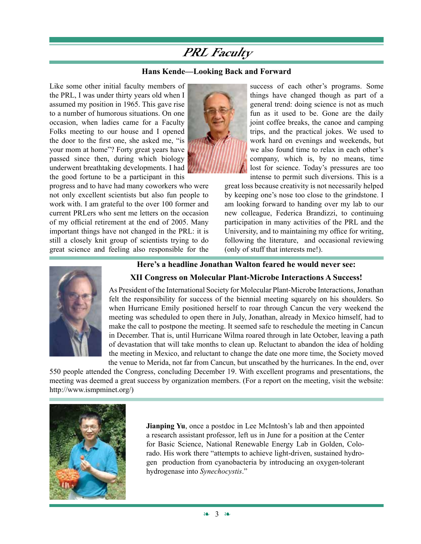# **PRL Faculty**

#### **Hans Kende—Looking Back and Forward**

Like some other initial faculty members of the PRL, I was under thirty years old when I assumed my position in 1965. This gave rise to a number of humorous situations. On one occasion, when ladies came for a Faculty Folks meeting to our house and I opened the door to the first one, she asked me, "is your mom at home"? Forty great years have passed since then, during which biology underwent breathtaking developments. I had the good fortune to be a participant in this

progress and to have had many coworkers who were not only excellent scientists but also fun people to work with. I am grateful to the over 100 former and current PRLers who sent me letters on the occasion of my official retirement at the end of 2005. Many important things have not changed in the PRL: it is still a closely knit group of scientists trying to do great science and feeling also responsible for the



success of each other's programs. Some things have changed though as part of a general trend: doing science is not as much fun as it used to be. Gone are the daily joint coffee breaks, the canoe and camping trips, and the practical jokes. We used to work hard on evenings and weekends, but we also found time to relax in each other's company, which is, by no means, time lost for science. Today's pressures are too intense to permit such diversions. This is a

great loss because creativity is not necessarily helped by keeping one's nose too close to the grindstone. I am looking forward to handing over my lab to our new colleague, Federica Brandizzi, to continuing participation in many activities of the PRL and the University, and to maintaining my office for writing, following the literature, and occasional reviewing (only of stuff that interests me!).



### **Here's a headline Jonathan Walton feared he would never see:**

#### **XII Congress on Molecular Plant-Microbe Interactions A Success!**

As President of the International Society for Molecular Plant-Microbe Interactions, Jonathan felt the responsibility for success of the biennial meeting squarely on his shoulders. So when Hurricane Emily positioned herself to roar through Cancun the very weekend the meeting was scheduled to open there in July, Jonathan, already in Mexico himself, had to make the call to postpone the meeting. It seemed safe to reschedule the meeting in Cancun in December. That is, until Hurricane Wilma roared through in late October, leaving a path of devastation that will take months to clean up. Reluctant to abandon the idea of holding the meeting in Mexico, and reluctant to change the date one more time, the Society moved the venue to Merida, not far from Cancun, but unscathed by the hurricanes. In the end, over

550 people attended the Congress, concluding December 19. With excellent programs and presentations, the meeting was deemed a great success by organization members. (For a report on the meeting, visit the website: http://www.ismpminet.org/)



**Jianping Yu**, once a postdoc in Lee McIntosh's lab and then appointed a research assistant professor, left us in June for a position at the Center for Basic Science, National Renewable Energy Lab in Golden, Colorado. His work there "attempts to achieve light-driven, sustained hydrogen production from cyanobacteria by introducing an oxygen-tolerant hydrogenase into *Synechocystis*."

❧ 3 ❧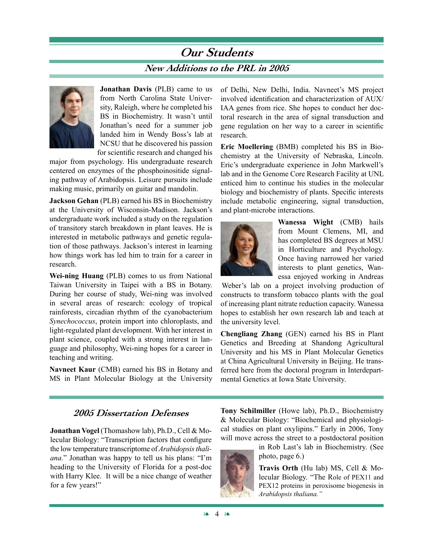# **Our Students New Additions to the PRL in 2005**



**Jonathan Davis** (PLB) came to us from North Carolina State University, Raleigh, where he completed his BS in Biochemistry. It wasn't until Jonathan's need for a summer job landed him in Wendy Boss's lab at NCSU that he discovered his passion for scientific research and changed his

major from psychology. His undergraduate research centered on enzymes of the phosphoinositide signaling pathway of Arabidopsis. Leisure pursuits include making music, primarily on guitar and mandolin.

**Jackson Gehan** (PLB) earned his BS in Biochemistry at the University of Wisconsin-Madison. Jackson's undergraduate work included a study on the regulation of transitory starch breakdown in plant leaves. He is interested in metabolic pathways and genetic regulation of those pathways. Jackson's interest in learning how things work has led him to train for a career in research.

**Wei-ning Huang** (PLB) comes to us from National Taiwan University in Taipei with a BS in Botany. During her course of study, Wei-ning was involved in several areas of research: ecology of tropical rainforests, circadian rhythm of the cyanobacterium *Synechococcus*, protein import into chloroplasts, and light-regulated plant development. With her interest in plant science, coupled with a strong interest in language and philosophy, Wei-ning hopes for a career in teaching and writing.

**Navneet Kaur** (CMB) earned his BS in Botany and MS in Plant Molecular Biology at the University of Delhi, New Delhi, India. Navneet's MS project involved identification and characterization of AUX/ IAA genes from rice. She hopes to conduct her doctoral research in the area of signal transduction and gene regulation on her way to a career in scientific research.

**Eric Moellering** (BMB) completed his BS in Biochemistry at the University of Nebraska, Lincoln. Eric's undergraduate experience in John Markwell's lab and in the Genome Core Research Facility at UNL enticed him to continue his studies in the molecular biology and biochemistry of plants. Specific interests include metabolic engineering, signal transduction, and plant-microbe interactions.



**Wanessa Wight** (CMB) hails from Mount Clemens, MI, and has completed BS degrees at MSU in Horticulture and Psychology. Once having narrowed her varied interests to plant genetics, Wanessa enjoyed working in Andreas

Weber's lab on a project involving production of constructs to transform tobacco plants with the goal of increasing plant nitrate reduction capacity. Wanessa hopes to establish her own research lab and teach at the university level.

**Chengliang Zhang** (GEN) earned his BS in Plant Genetics and Breeding at Shandong Agricultural University and his MS in Plant Molecular Genetics at China Agricultural University in Beijing. He transferred here from the doctoral program in Interdepartmental Genetics at Iowa State University.

**Jonathan Vogel** (Thomashow lab), Ph.D., Cell & Molecular Biology: "Transcription factors that configure the low temperature transcriptome of *Arabidopsis thaliana.*" Jonathan was happy to tell us his plans: "I'm heading to the University of Florida for a post-doc with Harry Klee. It will be a nice change of weather for a few years!"

**2005 Dissertation Defenses Tony Schilmiller** (Howe lab), Ph.D., Biochemistry & Molecular Biology: "Biochemical and physiological studies on plant oxylipins." Early in 2006, Tony will move across the street to a postdoctoral position



in Rob Last's lab in Biochemistry. (See photo, page 6.)

**Travis Orth** (Hu lab) MS, Cell & Molecular Biology. "The Role of PEX11 and PEX12 proteins in peroxisome biogenesis in *Arabidopsis thaliana."*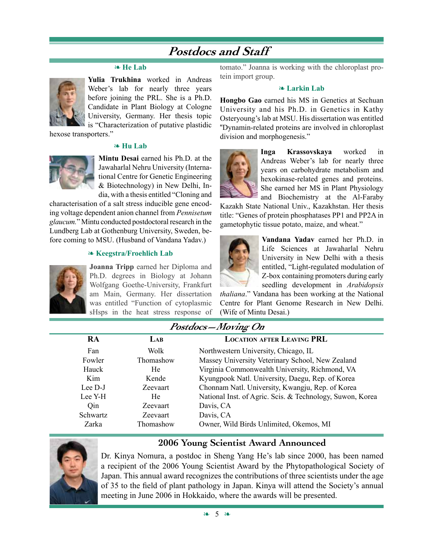# **Postdocs and Staff**

#### ❧ **He Lab**



**Yulia Trukhina** worked in Andreas Weber's lab for nearly three years before joining the PRL. She is a Ph.D. Candidate in Plant Biology at Cologne University, Germany. Her thesis topic is "Characterization of putative plastidic

hexose transporters."

#### ❧ **Hu Lab**



**Mintu Desai** earned his Ph.D. at the Jawaharlal Nehru University (International Centre for Genetic Engineering & Biotechnology) in New Delhi, India, with a thesis entitled "Cloning and

characterisation of a salt stress inducible gene encoding voltage dependent anion channel from *Pennisetum glaucum.*" Mintu conducted postdoctoral research in the Lundberg Lab at Gothenburg University, Sweden, before coming to MSU. (Husband of Vandana Yadav.)

#### ❧ **Keegstra/Froehlich Lab**



**Joanna Tripp** earned her Diploma and Ph.D. degrees in Biology at Johann Wolfgang Goethe-University, Frankfurt am Main, Germany. Her dissertation was entitled "Function of cytoplasmic sHsps in the heat stress response of

tomato." Joanna is working with the chloroplast protein import group.

#### ❧ **Larkin Lab**

**Hongbo Gao** earned his MS in Genetics at Sechuan University and his Ph.D. in Genetics in Kathy Osteryoung's lab at MSU. His dissertation was entitled "Dynamin-related proteins are involved in chloroplast division and morphogenesis."



**Inga Krassovskaya** worked in Andreas Weber's lab for nearly three years on carbohydrate metabolism and hexokinase-related genes and proteins. She earned her MS in Plant Physiology and Biochemistry at the Al-Faraby

Kazakh State National Univ., Kazakhstan. Her thesis title: "Genes of protein phosphatases PP1 and PP2A in gametophytic tissue potato, maize, and wheat."



**Vandana Yadav** earned her Ph.D. in Life Sciences at Jawaharlal Nehru University in New Delhi with a thesis entitled, "Light-regulated modulation of Z-box containing promoters during early seedling development in *Arabidopsis* 

*thaliana*." Vandana has been working at the National Centre for Plant Genome Research in New Delhi. (Wife of Mintu Desai.)

### **Postdocs—Moving On**

| <b>RA</b> | LAB             | <b>LOCATION AFTER LEAVING PRL</b>                         |
|-----------|-----------------|-----------------------------------------------------------|
| Fan       | Wolk            | Northwestern University, Chicago, IL                      |
| Fowler    | Thomashow       | Massey University Veterinary School, New Zealand          |
| Hauck     | He              | Virginia Commonwealth University, Richmond, VA            |
| Kim       | Kende           | Kyungpook Natl. University, Daegu, Rep. of Korea          |
| Lee D-J   | Zeevaart        | Chonnam Natl. University, Kwangju, Rep. of Korea          |
| Lee Y-H   | He              | National Inst. of Agric. Scis. & Technology, Suwon, Korea |
| Qin       | Zeevaart        | Davis, CA                                                 |
| Schwartz  | <b>Zeevaart</b> | Davis, CA                                                 |
| Zarka     | Thomashow       | Owner, Wild Birds Unlimited, Okemos, MI                   |

Dr. Kinya Nomura, a postdoc in Sheng Yang He's lab since 2000, has been named a recipient of the 2006 Young Scientist Award by the Phytopathological Society of Japan. This annual award recognizes the contributions of three scientists under the age of 35 to the field of plant pathology in Japan. Kinya will attend the Society's annual meeting in June 2006 in Hokkaido, where the awards will be presented.

**2006 Young Scientist Award Announced**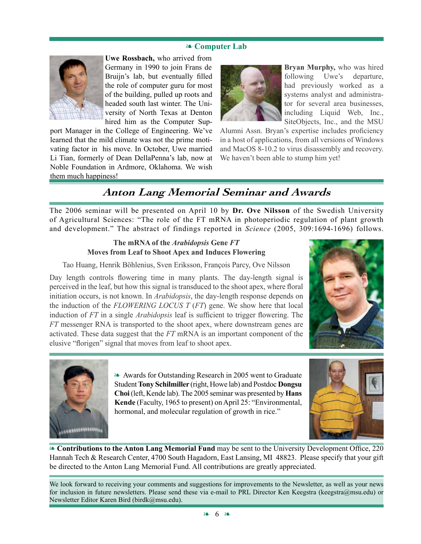#### ❧ **Computer Lab**



**Uwe Rossbach,** who arrived from Germany in 1990 to join Frans de Bruijn's lab, but eventually filled the role of computer guru for most of the building, pulled up roots and headed south last winter. The University of North Texas at Denton hired him as the Computer Sup-

port Manager in the College of Engineering. We've learned that the mild climate was not the prime motivating factor in his move. In October, Uwe married Li Tian, formerly of Dean DellaPenna's lab, now at Noble Foundation in Ardmore, Oklahoma. We wish them much happiness!



**Bryan Murphy,** who was hired following Uwe's departure, had previously worked as a systems analyst and administrator for several area businesses, including Liquid Web, Inc., SiteObjects, Inc., and the MSU

Alumni Assn. Bryan's expertise includes proficiency in a host of applications, from all versions of Windows and MacOS 8-10.2 to virus disassembly and recovery. We haven't been able to stump him yet!

## **Anton Lang Memorial Seminar and Awards**

The 2006 seminar will be presented on April 10 by **Dr. Ove Nilsson** of the Swedish University of Agricultural Sciences: "The role of the FT mRNA in photoperiodic regulation of plant growth and development." The abstract of findings reported in *Science* (2005, 309:1694-1696) follows.

### **The mRNA of the** *Arabidopsis* **Gene** *FT* **Moves from Leaf to Shoot Apex and Induces Flowering**

Tao Huang, Henrik Böhlenius, Sven Eriksson, François Parcy, Ove Nilsson

Day length controls flowering time in many plants. The day-length signal is perceived in the leaf, but how this signal is transduced to the shoot apex, where floral initiation occurs, is not known. In *Arabidopsis*, the day-length response depends on the induction of the *FLOWERING LOCUS T* (*FT*) gene. We show here that local induction of *FT* in a single *Arabidopsis* leaf is sufficient to trigger flowering. The *FT* messenger RNA is transported to the shoot apex, where downstream genes are activated. These data suggest that the *FT* mRNA is an important component of the elusive "florigen" signal that moves from leaf to shoot apex.





❧ Awards for Outstanding Research in 2005 went to Graduate Student **Tony Schilmiller** (right, Howe lab) and Postdoc **Dongsu Choi** (left, Kende lab). The 2005 seminar was presented by **Hans Kende** (Faculty, 1965 to present) on April 25: "Environmental, hormonal, and molecular regulation of growth in rice."



❧ **Contributions to the Anton Lang Memorial Fund** may be sent to the University Development Office, 220 Hannah Tech & Research Center, 4700 South Hagadorn, East Lansing, MI 48823. Please specify that your gift be directed to the Anton Lang Memorial Fund. All contributions are greatly appreciated.

We look forward to receiving your comments and suggestions for improvements to the Newsletter, as well as your news for inclusion in future newsletters. Please send these via e-mail to PRL Director Ken Keegstra (keegstra@msu.edu) or Newsletter Editor Karen Bird (birdk@msu.edu).

❧ 6 ❧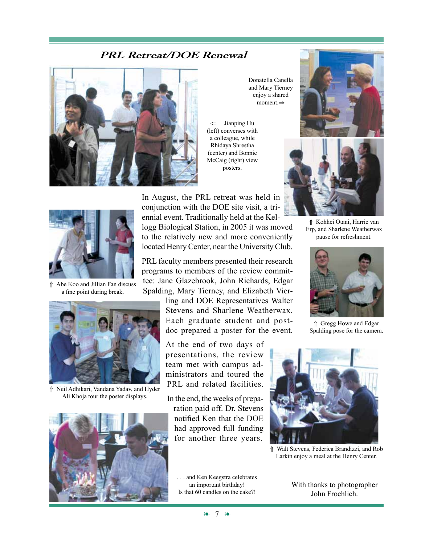### **PRL Retreat/DOE Renewal**



Donatella Canella and Mary Tierney enjoy a shared moment.⇒

Jianping Hu (left) converses with a colleague, while Rhidaya Shrestha (center) and Bonnie McCaig (right) view posters.





⇑ Abe Koo and Jillian Fan discuss a fine point during break.



⇑ Neil Adhikari, Vandana Yadav, and Hyder Ali Khoja tour the poster displays.



In August, the PRL retreat was held in conjunction with the DOE site visit, a triennial event. Traditionally held at the Kellogg Biological Station, in 2005 it was moved to the relatively new and more conveniently located Henry Center, near the University Club.

PRL faculty members presented their research programs to members of the review committee: Jane Glazebrook, John Richards, Edgar Spalding, Mary Tierney, and Elizabeth Vier-

> ling and DOE Representatives Walter Stevens and Sharlene Weatherwax. Each graduate student and postdoc prepared a poster for the event.

At the end of two days of presentations, the review team met with campus administrators and toured the PRL and related facilities.

In the end, the weeks of preparation paid off. Dr. Stevens notified Ken that the DOE had approved full funding for another three years.







⇑ Gregg Howe and Edgar Spalding pose for the camera.



⇑ Walt Stevens, Federica Brandizzi, and Rob Larkin enjoy a meal at the Henry Center.

With thanks to photographer John Froehlich.

❧ 7 ❧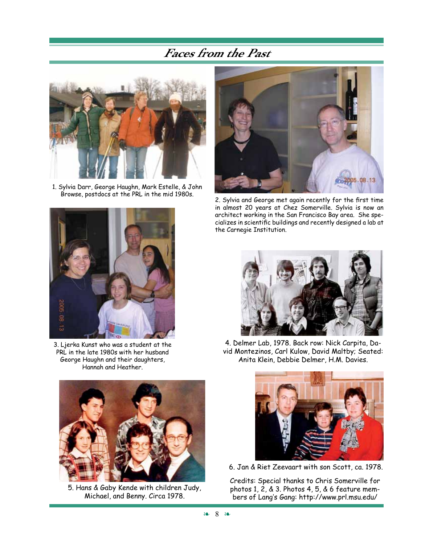# **Faces from the Past**



1. Sylvia Darr, George Haughn, Mark Estelle, & John



3. Ljerka Kunst who was a student at the PRL in the late 1980s with her husband George Haughn and their daughters, Hannah and Heather.



5. Hans & Gaby Kende with children Judy, Michael, and Benny. Circa 1978.



Browse, postdocs at the PRL in the mid 1980s. 2. Sylvia and George met again recently for the first time in almost 20 years at Chez Somerville. Sylvia is now an architect working in the San Francisco Bay area. She specializes in scientific buildings and recently designed a lab at the Carnegie Institution.



4. Delmer Lab, 1978. Back row: Nick Carpita, David Montezinos, Carl Kulow, David Maltby; Seated: Anita Klein, Debbie Delmer, H.M. Davies.



6. Jan & Riet Zeevaart with son Scott, ca. 1978.

Credits: Special thanks to Chris Somerville for photos 1, 2, & 3. Photos 4, 5, & 6 feature members of Lang's Gang: http://www.prl.msu.edu/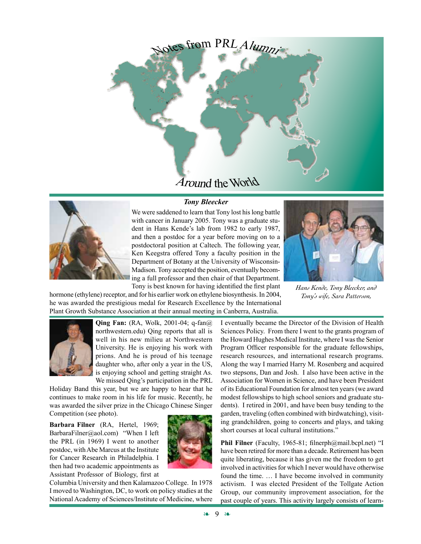

## *Tony Bleecker*



We were saddened to learn that Tony lost his long battle with cancer in January 2005. Tony was a graduate student in Hans Kende's lab from 1982 to early 1987, and then a postdoc for a year before moving on to a postdoctoral position at Caltech. The following year, Ken Keegstra offered Tony a faculty position in the Department of Botany at the University of Wisconsin-Madison. Tony accepted the position, eventually becoming a full professor and then chair of that Department. Tony is best known for having identified the first plant



*Hans Kende, Tony Bleecker, and Tony's wife, Sara Patterson,*

hormone (ethylene) receptor, and for his earlier work on ethylene biosynthesis. In 2004, he was awarded the prestigious medal for Research Excellence by the International Plant Growth Substance Association at their annual meeting in Canberra, Australia.



**Qing Fan:** (RA, Wolk, 2001-04; q-fan@) northwestern.edu) Qing reports that all is well in his new milieu at Northwestern University. He is enjoying his work with prions. And he is proud of his teenage daughter who, after only a year in the US, is enjoying school and getting straight As. We missed Qing's participation in the PRL

Holiday Band this year, but we are happy to hear that he continues to make room in his life for music. Recently, he was awarded the silver prize in the Chicago Chinese Singer Competition (see photo).

**Barbara Filner** (RA, Hertel, 1969; BarbaraFilner@aol.com) "When I left the PRL (in 1969) I went to another postdoc, with Abe Marcus at the Institute for Cancer Research in Philadelphia. I then had two academic appointments as Assistant Professor of Biology, first at



Columbia University and then Kalamazoo College. In 1978 I moved to Washington, DC, to work on policy studies at the National Academy of Sciences/Institute of Medicine, where I eventually became the Director of the Division of Health Sciences Policy. From there I went to the grants program of the Howard Hughes Medical Institute, where I was the Senior Program Officer responsible for the graduate fellowships, research resources, and international research programs. Along the way I married Harry M. Rosenberg and acquired two stepsons, Dan and Josh. I also have been active in the Association for Women in Science, and have been President of its Educational Foundation for almost ten years (we award modest fellowships to high school seniors and graduate students). I retired in 2001, and have been busy tending to the garden, traveling (often combined with birdwatching), visiting grandchildren, going to concerts and plays, and taking short courses at local cultural institutions."

**Phil Filner** (Faculty, 1965-81; filnerph@mail.bcpl.net) "I have been retired for more than a decade. Retirement has been quite liberating, because it has given me the freedom to get involved in activities for which I never would have otherwise found the time. … I have become involved in community activism. I was elected President of the Tollgate Action Group, our community improvement association, for the past couple of years. This activity largely consists of learn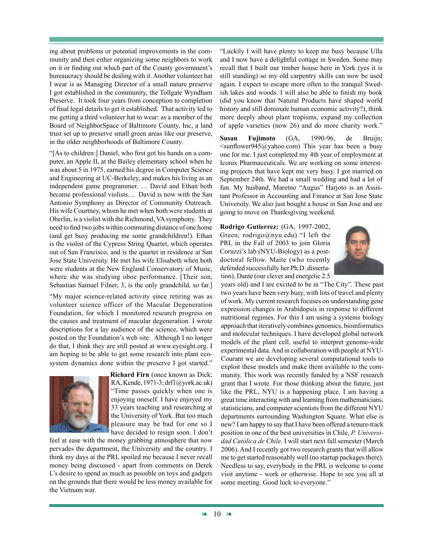ing about problems or potential improvements in the community and then either organizing some neighbors to work on it or finding out which part of the County government's bureaucracy should be dealing with it. Another volunteer hat I wear is as Managing Director of a small nature preserve I got established in the community, the Tollgate Wyndham Preserve. It took four years from conception to completion of final legal details to get it established. That activity led to me getting a third volunteer hat to wear: as a member of the Board of NeighborSpace of Baltimore County, Inc, a land trust set up to preserve small green areas like our preserve, in the older neighborhoods of Baltimore County.

"[As to children:] Daniel, who first got his hands on a computer, an Apple II, at the Bailey elementary school when he was about 5 in 1975, earned his degree in Computer Science and Engineering at UC-Berkeley, and makes his living as an independent game programmer. … David and Ethan both became professional violists.... David is now with the San Antonio Symphony as Director of Community Outreach. His wife Courtney, whom he met when both were students at Oberlin, is a violist with the Richmond, VA symphony. They need to find two jobs within commuting distance of one home (and get busy producing me some grandchildren!). Ethan is the violist of the Cypress String Quartet, which operates out of San Francisco, and is the quartet in residence at San Jose State University. He met his wife Elisabeth when both were students at the New England Conservatory of Music, where she was studying oboe performance. [Their son, Sebastian Samuel Filner, 3, is the only grandchild, so far.]

"My major science-related activity since retiring was as volunteer science officer of the Macular Degeneration Foundation, for which I monitored research progress on the causes and treatment of macular degeneration. I wrote descriptions for a lay audience of the science, which were posted on the Foundation's web site. Although I no longer do that, I think they are still posted at www.eyesight.org. I am hoping to be able to get some research into plant ecosystem dynamics done within the preserve I got started."



**Richard Firn** (once known as Dick; RA, Kende, 1971-3; drf1@york.ac.uk) "Time passes quickly when one is enjoying oneself. I have enjoyed my 33 years teaching and researching at the University of York. But too much pleasure may be bad for one so I have decided to resign soon. I don't

feel at ease with the money grabbing atmosphere that now pervades the department, the University and the country. I think my days at the PRL spoiled me because I never recall money being discussed - apart from comments on Derek L's desire to spend as much as possible on toys and gadgets on the grounds that there would be less money available for the Vietnam war.

"Luckily I will have plenty to keep me busy because Ulla and I now have a delightful cottage in Sweden. Some may recall that I built our timber house here in York (yes it is still standing) so my old carpentry skills can now be used again. I expect to escape more often to the tranquil Swedish lakes and woods. I will also be able to finish my book (did you know that Natural Products have shaped world history and still dominate human economic activity?), think more deeply about plant tropisms, expand my collection of apple varieties (now 26) and do more charity work."

**Susan Fujimoto** (GA, 1990-96, de Bruijn;  $\le$ sunflower945@yahoo.com) This year has been a busy one for me. I just completed my 4th year of employment at Iconix Pharmaceuticals. We are working on some interesting projects that have kept me very busy. I got married on September 24th. We had a small wedding and had a lot of fun. My husband, Maretno "Augus" Harjoto is an Assistant Professor in Accounting and Finance at San Jose State University. We also just bought a house in San Jose and are going to move on Thanksgiving weekend.

**Rodrigo Gutierrez:** (GA, 1997-2002, Green; rodrigo@nyu.edu) "I left the PRL in the Fall of 2003 to join Gloria Coruzzi's lab (NYU-Biology) as a postdoctoral fellow. Maite (who recently defended successfully her Ph.D. dissertation), Dante (our clever and energetic 2.5



years old) and I are excited to be in "The City". These past two years have been very busy, with lots of travel and plenty of work. My current research focuses on understanding gene expression changes in Arabidopsis in response to different nutritional regimes. For this I am using a systems biology approach that iteratively combines genomics, bioinformatics and molecular techniques. I have developed global network models of the plant cell, useful to interpret genome-wide experimental data. And in collaboration with people at NYU-Courant we are developing several computational tools to exploit these models and make them available to the community. This work was recently funded by a NSF research grant that I wrote. For those thinking about the future, just like the PRL, NYU is a happening place. I am having a great time interacting with and learning from mathematicians, statisticians, and computer scientists from the different NYU departments surrounding Washington Square. What else is new? I am happy to say that I have been offered a tenure-track position in one of the best universities in Chile, *P. Universidad Católica de Chile*. I will start next fall semester (March 2006). And I recently got two research grants that will allow me to get started reasonably well (no startup packages there). Needless to say, everybody in the PRL is welcome to come visit anytime - work or otherwise. Hope to see you all at some meeting. Good luck to everyone."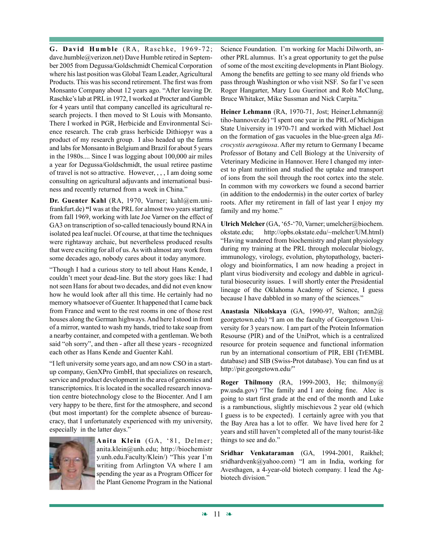**G. David Humble** (RA, Raschke, 1969-72; dave.humble@verizon.net) Dave Humble retired in September 2005 from Degussa/Goldschmidt Chemical Corporation where his last position was Global Team Leader, Agricultural Products. This was his second retirement. The first was from Monsanto Company about 12 years ago. "After leaving Dr. Raschke's lab at PRL in 1972, I worked at Procter and Gamble for 4 years until that company cancelled its agricultural research projects. I then moved to St Louis with Monsanto. There I worked in PGR, Herbicide and Environmental Science research. The crab grass herbicide Dithiopyr was a product of my research group. I also headed up the farms and labs for Monsanto in Belgium and Brazil for about 5 years in the 1980s.... Since I was logging about 100,000 air miles a year for Degussa/Goldschmidt, the usual retiree pastime of travel is not so attractive. However, , , , I am doing some consulting on agricultural adjuvants and international business and recently returned from a week in China."

**Dr. Guenter Kahl** (RA, 1970, Varner; kahl@em.unifrankfurt.de) **"**I was at the PRL for almost two years starting from fall 1969, working with late Joe Varner on the effect of GA3 on transcription of so-called tenaciously bound RNA in isolated pea leaf nuclei. Of course, at that time the techniques were rightaway archaic, but nevertheless produced results that were exciting for all of us. As with almost any work from some decades ago, nobody cares about it today anymore.

"Though I had a curious story to tell about Hans Kende, I couldn't meet your dead-line. But the story goes like: I had not seen Hans for about two decades, and did not even know how he would look after all this time. He certainly had no memory whatsoever of Guenter. It happened that I came back from France and went to the rest rooms in one of those rest houses along the German highways. And here I stood in front of a mirror, wanted to wash my hands, tried to take soap from a nearby container, and competed with a gentleman. We both said "oh sorry", and then - after all these years - recognized each other as Hans Kende and Guenter Kahl.

"I left university some years ago, and am now CSO in a startup company, GenXPro GmbH, that specializes on research, service and product development in the area of genomics and transcriptomics. It is located in the socalled research innovation centre biotechnology close to the Biocenter. And I am very happy to be there, first for the atmosphere, and second (but most important) for the complete absence of bureaucracy, that I unfortunately experienced with my university, especially in the latter days."



**Anita Klein** (GA, '81, Delmer; anita.klein@unh.edu; http://biochemistr y.unh.edu.Faculty/Klein/) "This year I'm writing from Arlington VA where I am spending the year as a Program Officer for the Plant Genome Program in the National

Science Foundation. I'm working for Machi Dilworth, another PRL alumnus. It's a great opportunity to get the pulse of some of the most exciting developments in Plant Biology. Among the benefits are getting to see many old friends who pass through Washington or who visit NSF. So far I've seen Roger Hangarter, Mary Lou Guerinot and Rob McClung, Bruce Whitaker, Mike Sussman and Nick Carpita."

**Heiner Lehmann** (RA, 1970-71, Jost; Heiner.Lehmann@ tiho-hannover.de) "I spent one year in the PRL of Michigan State University in 1970-71 and worked with Michael Jost on the formation of gas vacuoles in the blue-green alga *Microcystis aeruginosa*. After my return to Germany I became Professor of Botany and Cell Biology at the University of Veterinary Medicine in Hannover. Here I changed my interest to plant nutrition and studied the uptake and transport of ions from the soil through the root cortex into the stele. In common with my coworkers we found a second barrier (in addition to the endodermis) in the outer cortex of barley roots. After my retirement in fall of last year I enjoy my family and my home."

**Ulrich Melcher** (GA, '65-'70, Varner; umelcher@biochem. okstate.edu; http://opbs.okstate.edu/~melcher/UM.html) "Having wandered from biochemistry and plant physiology during my training at the PRL through molecular biology, immunology, virology, evolution, phytopathology, bacteriology and bioinformatics, I am now heading a project in plant virus biodiversity and ecology and dabble in agricultural biosecurity issues. I will shortly enter the Presidential lineage of the Oklahoma Academy of Science, I guess because I have dabbled in so many of the sciences."

**Anastasia Nikolskaya** (GA, 1990-97, Walton; ann2@ georgetown.edu) "I am on the faculty of Georgetown University for 3 years now. I am part of the Protein Information Resourse (PIR) and of the UniProt, which is a centralized resource for protein sequence and functional information run by an international consortium of PIR, EBI (TrEMBL database) and SIB (Swiss-Prot database). You can find us at http://pir.georgetown.edu/"

**Roger Thilmony** (RA, 1999-2003, He; thilmony@ pw.usda.gov) "The family and I are doing fine. Alec is going to start first grade at the end of the month and Luke is a rambunctious, slightly mischievous 2 year old (which I guess is to be expected). I certainly agree with you that the Bay Area has a lot to offer. We have lived here for 2 years and still haven't completed all of the many tourist-like things to see and do."

**Sridhar Venkataraman** (GA, 1994-2001, Raikhel; sridhardvenk@yahoo.com) "I am in India, working for Avesthagen, a 4-year-old biotech company. I lead the Agbiotech division."